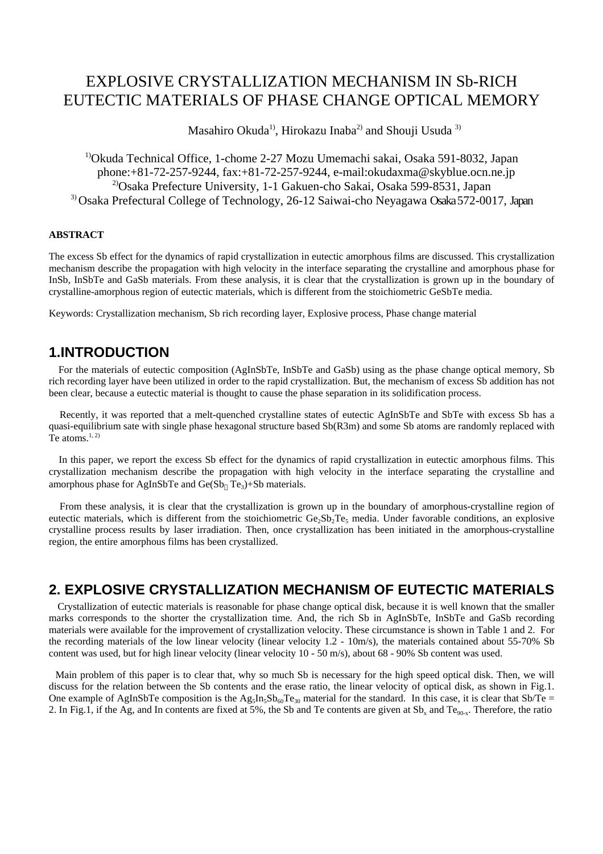# EXPLOSIVE CRYSTALLIZATION MECHANISM IN Sb-RICH EUTECTIC MATERIALS OF PHASE CHANGE OPTICAL MEMORY

Masahiro Okuda<sup>1</sup>, Hirokazu Inaba<sup>2</sup> and Shouji Usuda<sup>3)</sup>

<sup>1)</sup>Okuda Technical Office, 1-chome 2-27 Mozu Umemachi sakai, Osaka 591-8032, Japan phone:+81-72-257-9244, fax:+81-72-257-9244, e-mail:okudaxma@skyblue.ocn.ne.jp 2)Osaka Prefecture University, 1-1 Gakuen-cho Sakai, Osaka 599-8531, Japan 3) Osaka Prefectural College of Technology, 26-12 Saiwai-cho Neyagawa Osaka 572-0017, Japan

#### **ABSTRACT**

The excess Sb effect for the dynamics of rapid crystallization in eutectic amorphous films are discussed. This crystallization mechanism describe the propagation with high velocity in the interface separating the crystalline and amorphous phase for InSb, InSbTe and GaSb materials. From these analysis, it is clear that the crystallization is grown up in the boundary of crystalline-amorphous region of eutectic materials, which is different from the stoichiometric GeSbTe media.

Keywords: Crystallization mechanism, Sb rich recording layer, Explosive process, Phase change material

# **1. INTRODUCTION**

 For the materials of eutectic composition (AgInSbTe, InSbTe and GaSb) using as the phase change optical memory, Sb rich recording layer have been utilized in order to the rapid crystallization. But, the mechanism of excess Sb addition has not been clear, because a eutectic material is thought to cause the phase separation in its solidification process.

 Recently, it was reported that a melt-quenched crystalline states of eutectic AgInSbTe and SbTe with excess Sb has a quasi-equilibrium sate with single phase hexagonal structure based Sb(R3m) and some Sb atoms are randomly replaced with Te atoms. $1, 2$ 

 In this paper, we report the excess Sb effect for the dynamics of rapid crystallization in eutectic amorphous films. This crystallization mechanism describe the propagation with high velocity in the interface separating the crystalline and amorphous phase for AgInSbTe and Ge(Sb  $Te<sub>3</sub>$ )+Sb materials.

 From these analysis, it is clear that the crystallization is grown up in the boundary of amorphous-crystalline region of eutectic materials, which is different from the stoichiometric Ge<sub>2</sub>Sb<sub>2</sub>Te<sub>5</sub> media. Under favorable conditions, an explosive crystalline process results by laser irradiation. Then, once crystallization has been initiated in the amorphous-crystalline region, the entire amorphous films has been crystallized.

### **2.EXPLOSIVE CRYSTALLIZATION MECHANISM OF EUTECTIC MATERIALS**

 Crystallization of eutectic materials is reasonable for phase change optical disk, because it is well known that the smaller marks corresponds to the shorter the crystallization time. And, the rich Sb in AgInSbTe, InSbTe and GaSb recording materials were available for the improvement of crystallization velocity. These circumstance is shown in Table 1 and 2. For the recording materials of the low linear velocity (linear velocity 1.2 - 10m/s), the materials contained about 55-70% Sb content was used, but for high linear velocity (linear velocity 10 - 50 m/s), about 68 - 90% Sb content was used.

 Main problem of this paper is to clear that, why so much Sb is necessary for the high speed optical disk. Then, we will discuss for the relation between the Sb contents and the erase ratio, the linear velocity of optical disk, as shown in Fig.1. One example of AgInSbTe composition is the Ag<sub>5</sub>In<sub>5</sub>Sb<sub>60</sub>Te<sub>30</sub> material for the standard. In this case, it is clear that Sb/Te = 2. In Fig.1, if the Ag, and In contents are fixed at 5%, the Sb and Te contents are given at  $Sb_x$  and Te<sub>90-x</sub>. Therefore, the ratio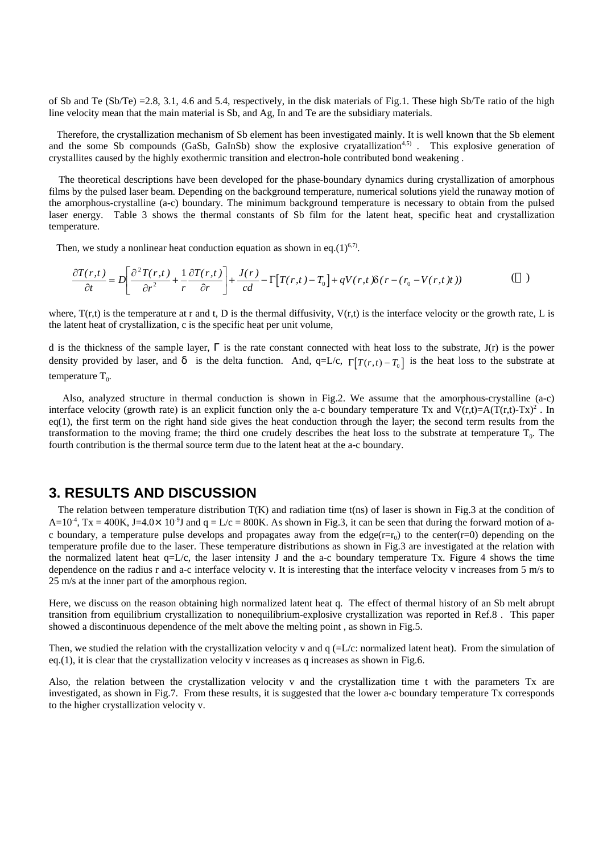of Sb and Te (Sb/Te) =2.8, 3.1, 4.6 and 5.4, respectively, in the disk materials of Fig.1. These high Sb/Te ratio of the high line velocity mean that the main material is Sb, and Ag, In and Te are the subsidiary materials.

 Therefore, the crystallization mechanism of Sb element has been investigated mainly. It is well known that the Sb element and the some Sb compounds (GaSb, GaInSb) show the explosive cryatallization<sup>4,5)</sup>. This explosive generation of crystallites caused by the highly exothermic transition and electron-hole contributed bond weakening .

 The theoretical descriptions have been developed for the phase-boundary dynamics during crystallization of amorphous films by the pulsed laser beam. Depending on the background temperature, numerical solutions yield the runaway motion of the amorphous-crystalline (a-c) boundary. The minimum background temperature is necessary to obtain from the pulsed laser energy. Table 3 shows the thermal constants of Sb film for the latent heat, specific heat and crystallization temperature.

Then, we study a nonlinear heat conduction equation as shown in eq.(1)<sup>6,7)</sup>.

$$
\frac{\partial T(r,t)}{\partial t} = D \left[ \frac{\partial^2 T(r,t)}{\partial r^2} + \frac{1}{r} \frac{\partial T(r,t)}{\partial r} \right] + \frac{J(r)}{cd} - \Gamma \left[ T(r,t) - T_0 \right] + qV(r,t) \delta (r - (r_0 - V(r,t)))
$$
 (1)

where,  $T(r,t)$  is the temperature at r and t, D is the thermal diffusivity,  $V(r,t)$  is the interface velocity or the growth rate, L is the latent heat of crystallization, c is the specific heat per unit volume,

d is the thickness of the sample layer, is the rate constant connected with heat loss to the substrate, J(r) is the power density provided by laser, and is the delta function. And, q=L/c,  $\Gamma[T(r,t)-T_0]$  is the heat loss to the substrate at temperature  $T_0$ .

 Also, analyzed structure in thermal conduction is shown in Fig.2. We assume that the amorphous-crystalline (a-c) interface velocity (growth rate) is an explicit function only the a-c boundary temperature Tx and  $V(r,t)=A(T(r,t)-Tx)^2$ . In  $eq(1)$ , the first term on the right hand side gives the heat conduction through the layer; the second term results from the transformation to the moving frame; the third one crudely describes the heat loss to the substrate at temperature  $T_0$ . The fourth contribution is the thermal source term due to the latent heat at the a-c boundary.

### **3.RESULTS AND DISCUSSION**

The relation between temperature distribution  $T(K)$  and radiation time t(ns) of laser is shown in Fig.3 at the condition of  $A=10^{-4}$ , Tx = 400K, J=4.0×10<sup>-9</sup>J and q = L/c = 800K. As shown in Fig.3, it can be seen that during the forward motion of ac boundary, a temperature pulse develops and propagates away from the edge( $r=r_0$ ) to the center( $r=0$ ) depending on the temperature profile due to the laser. These temperature distributions as shown in Fig.3 are investigated at the relation with the normalized latent heat  $q=L/c$ , the laser intensity J and the a-c boundary temperature Tx. Figure 4 shows the time dependence on the radius r and a-c interface velocity v. It is interesting that the interface velocity v increases from 5 m/s to 25 m/s at the inner part of the amorphous region.

Here, we discuss on the reason obtaining high normalized latent heat q. The effect of thermal history of an Sb melt abrupt transition from equilibrium crystallization to nonequilibrium-explosive crystallization was reported in Ref.8 . This paper showed a discontinuous dependence of the melt above the melting point , as shown in Fig.5.

Then, we studied the relation with the crystallization velocity v and  $q$  (=L/c: normalized latent heat). From the simulation of eq.(1), it is clear that the crystallization velocity v increases as q increases as shown in Fig.6.

Also, the relation between the crystallization velocity v and the crystallization time t with the parameters Tx are investigated, as shown in Fig.7. From these results, it is suggested that the lower a-c boundary temperature Tx corresponds to the higher crystallization velocity v.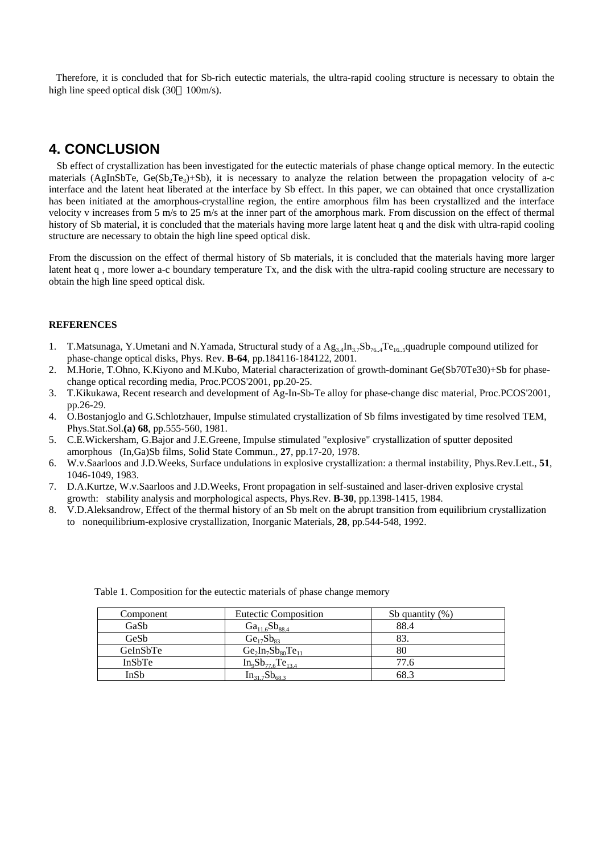Therefore, it is concluded that for Sb-rich eutectic materials, the ultra-rapid cooling structure is necessary to obtain the high line speed optical disk (30 100m/s).

# **4.CONCLUSION**

 Sb effect of crystallization has been investigated for the eutectic materials of phase change optical memory. In the eutectic materials (AgInSbTe,  $Ge(Sb_2Te_3)+Sb$ ), it is necessary to analyze the relation between the propagation velocity of a-c interface and the latent heat liberated at the interface by Sb effect. In this paper, we can obtained that once crystallization has been initiated at the amorphous-crystalline region, the entire amorphous film has been crystallized and the interface velocity v increases from 5 m/s to 25 m/s at the inner part of the amorphous mark. From discussion on the effect of thermal history of Sb material, it is concluded that the materials having more large latent heat q and the disk with ultra-rapid cooling structure are necessary to obtain the high line speed optical disk.

From the discussion on the effect of thermal history of Sb materials, it is concluded that the materials having more larger latent heat q , more lower a-c boundary temperature Tx, and the disk with the ultra-rapid cooling structure are necessary to obtain the high line speed optical disk.

#### **REFERENCES**

- 1. T.Matsunaga, Y.Umetani and N.Yamada, Structural study of a  $Ag_{3,4}In_{3,7}Sb_{76,4}Te_{16,5}quadruple compound utilized for$ phase-change optical disks, Phys. Rev. **B-64**, pp.184116-184122, 2001.
- 2. M.Horie, T.Ohno, K.Kiyono and M.Kubo, Material characterization of growth-dominant Ge(Sb70Te30)+Sb for phasechange optical recording media, Proc.PCOS'2001, pp.20-25.
- 3. T.Kikukawa, Recent research and development of Ag-In-Sb-Te alloy for phase-change disc material, Proc.PCOS'2001, pp.26-29.
- 4. O.Bostanjoglo and G.Schlotzhauer, Impulse stimulated crystallization of Sb films investigated by time resolved TEM, Phys.Stat.Sol.**(a) 68**, pp.555-560, 1981.
- 5. C.E.Wickersham, G.Bajor and J.E.Greene, Impulse stimulated "explosive" crystallization of sputter deposited amorphous (In,Ga)Sb films, Solid State Commun., **27**, pp.17-20, 1978.
- 6. W.v.Saarloos and J.D.Weeks, Surface undulations in explosive crystallization: a thermal instability, Phys.Rev.Lett., **51**, 1046-1049, 1983.
- 7. D.A.Kurtze, W.v.Saarloos and J.D.Weeks, Front propagation in self-sustained and laser-driven explosive crystal growth: stability analysis and morphological aspects, Phys.Rev. **B-30**, pp.1398-1415, 1984.
- 8. V.D.Aleksandrow, Effect of the thermal history of an Sb melt on the abrupt transition from equilibrium crystallization to nonequilibrium-explosive crystallization, Inorganic Materials, **28**, pp.544-548, 1992.

| Component | <b>Eutectic Composition</b> | Sb quantity $(\%)$ |
|-----------|-----------------------------|--------------------|
| GaSb      | $Ga_{11.6}Sb_{88.4}$        | 88.4               |
| GeSb      | $Ge_{17}Sb_{83}$            | 83.                |
| GeInSbTe  | $Ge_2In_7Sb_{80}Te_{11}$    | 80                 |
| InSbTe    | $In_9Sb_{77.6}Te_{13.4}$    | 77.6               |
| InSb      | $In_{31.7}Sb_{68.3}$        | 68.3               |

Table 1. Composition for the eutectic materials of phase change memory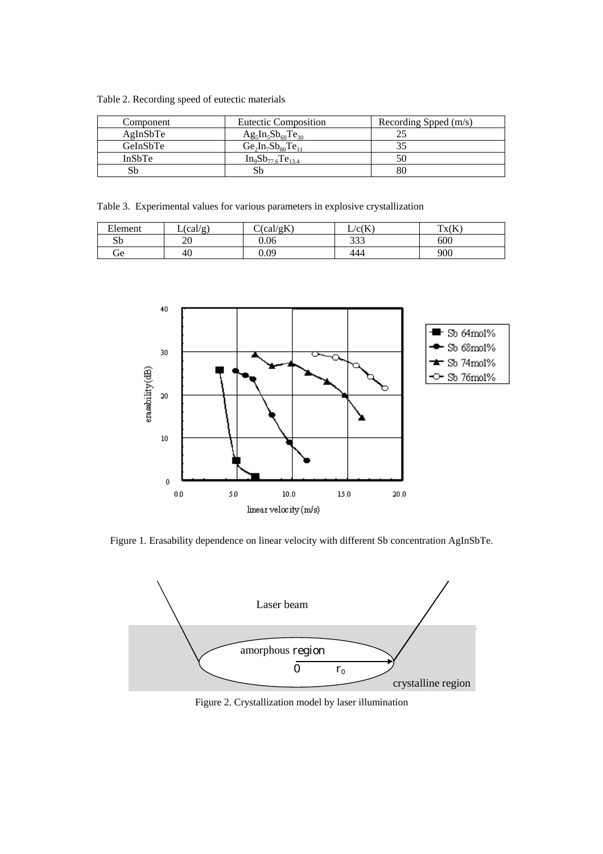Table 2. Recording speed of eutectic materials

| Component     | <b>Eutectic Composition</b> | Recording Spped (m/s) |  |
|---------------|-----------------------------|-----------------------|--|
| AgInSbTe      | $Ag_5In_5Sb_{60}Te_{30}$    |                       |  |
| GeInSbTe      | $Ge_2In_7Sb_{80}Te_{11}$    |                       |  |
| <b>InSbTe</b> | $In_9Sb_{77.6}Te_{13.4}$    |                       |  |
| Sb            |                             |                       |  |

Table 3. Experimental values for various parameters in explosive crystallization

| T1<br>Element | $\text{(cal/g)}$ | (cal/gK) | $\rm/c(K)$ | Tx(K) |
|---------------|------------------|----------|------------|-------|
| Sb            | ኅሰ<br>∠∪         | 0.06     | つつつ<br>333 | 600   |
| Ĵе            | 40               | 0.09     | 444        | 900   |



Figure 1. Erasability dependence on linear velocity with different Sb concentration AgInSbTe.



Figure 2. Crystallization model by laser illumination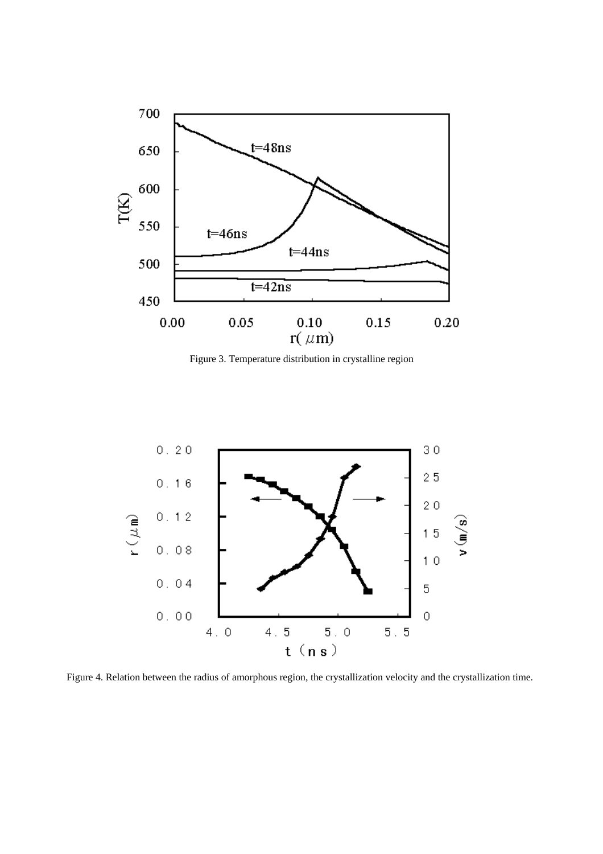

Figure 3. Temperature distribution in crystalline region



Figure 4. Relation between the radius of amorphous region, the crystallization velocity and the crystallization time.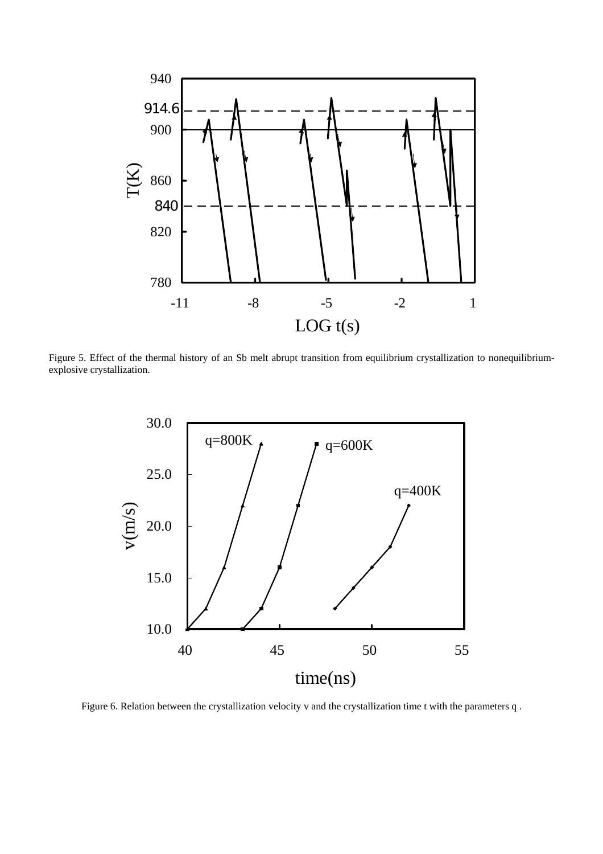

Figure 5. Effect of the thermal history of an Sb melt abrupt transition from equilibrium crystallization to nonequilibriumexplosive crystallization.



Figure 6. Relation between the crystallization velocity v and the crystallization time t with the parameters q .